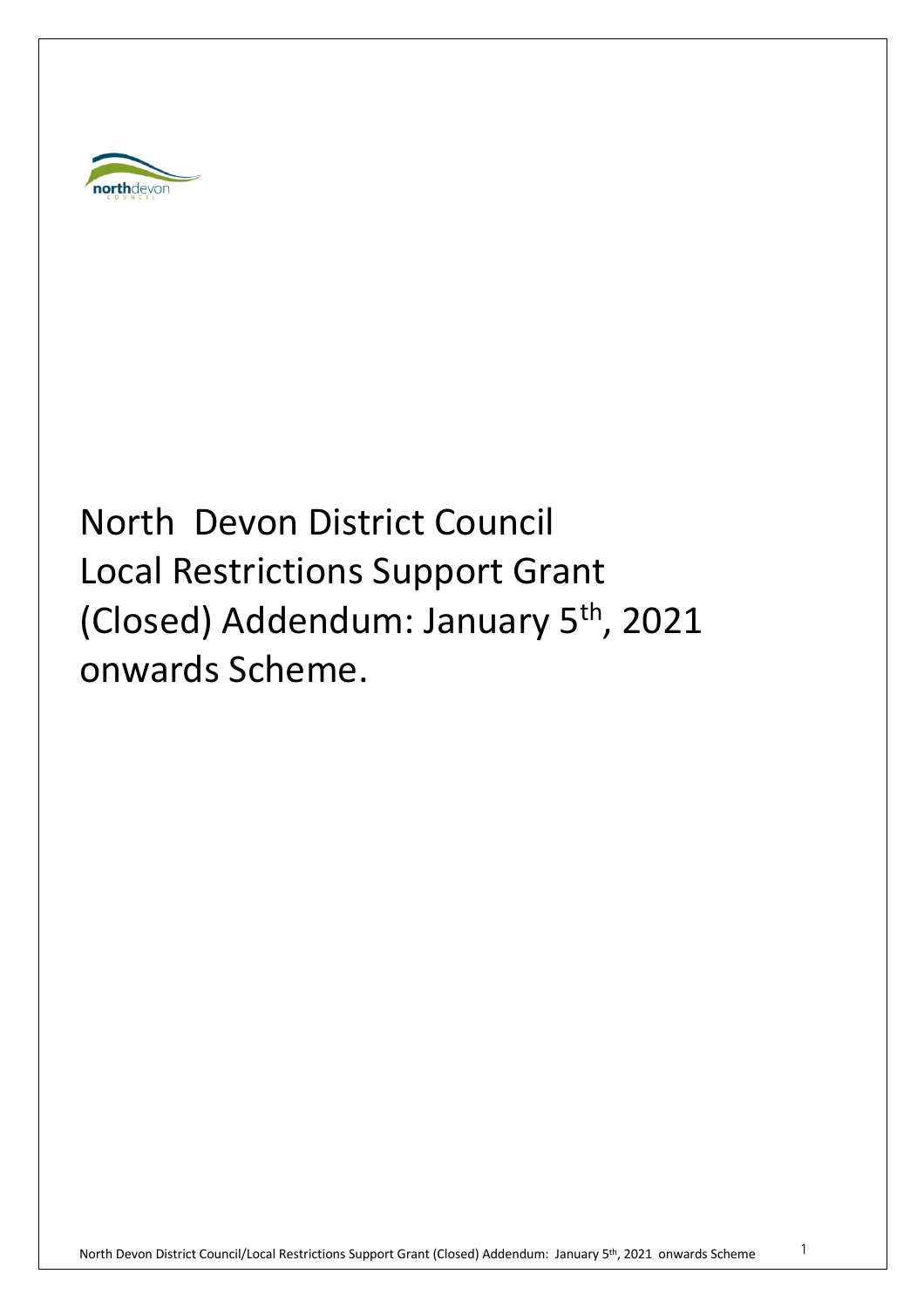

# North Devon District Council Local Restrictions Support Grant (Closed) Addendum: January 5<sup>th</sup>, 2021 onwards Scheme.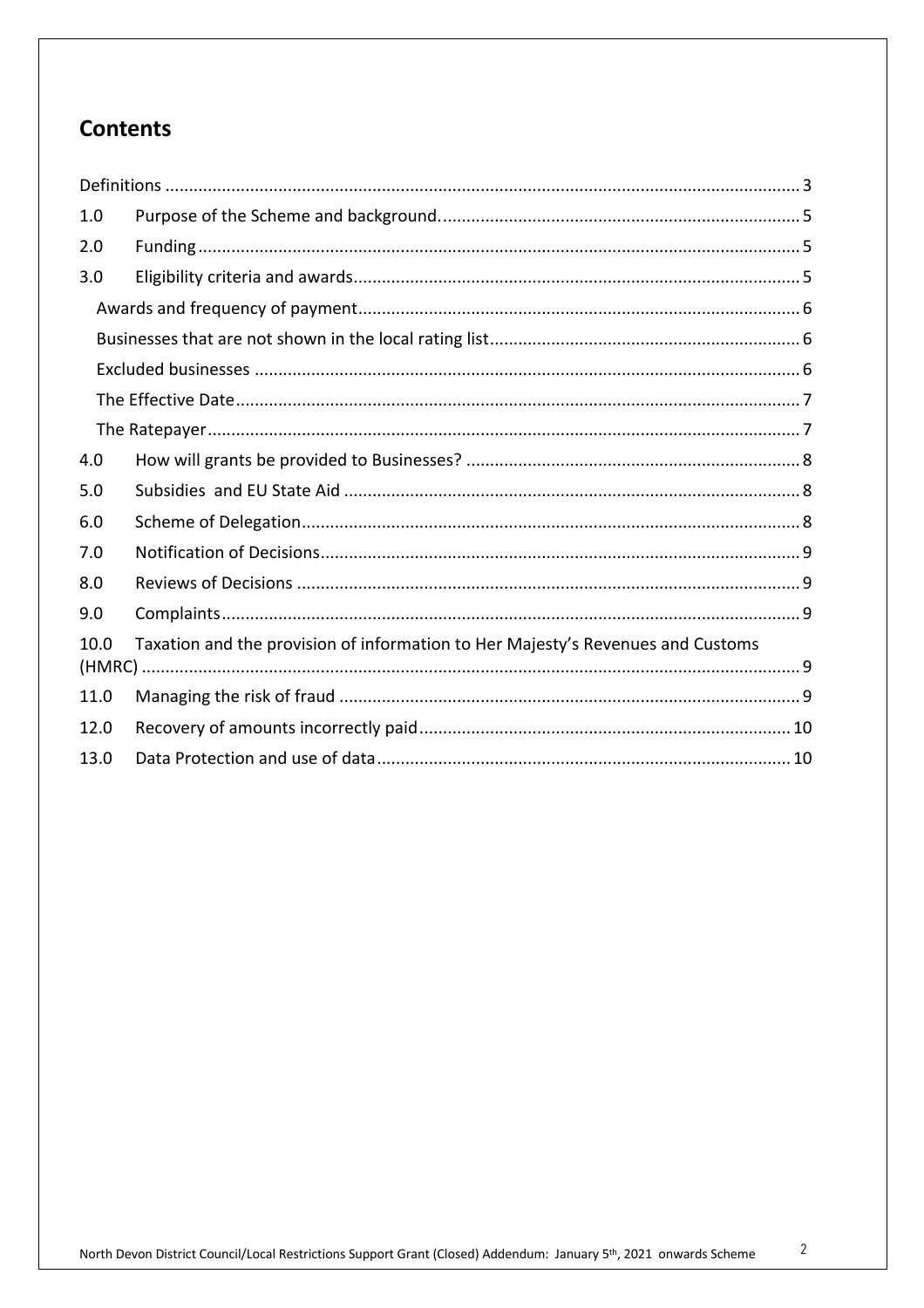# **Contents**

| 1.0                                                                                     |  |  |  |
|-----------------------------------------------------------------------------------------|--|--|--|
| 2.0                                                                                     |  |  |  |
| 3.0                                                                                     |  |  |  |
|                                                                                         |  |  |  |
|                                                                                         |  |  |  |
|                                                                                         |  |  |  |
|                                                                                         |  |  |  |
|                                                                                         |  |  |  |
| 4.0                                                                                     |  |  |  |
| 5.0                                                                                     |  |  |  |
| 6.0                                                                                     |  |  |  |
| 7.0                                                                                     |  |  |  |
| 8.0                                                                                     |  |  |  |
| 9.0                                                                                     |  |  |  |
| Taxation and the provision of information to Her Majesty's Revenues and Customs<br>10.0 |  |  |  |
| 11.0                                                                                    |  |  |  |
| 12.0                                                                                    |  |  |  |
| 13.0                                                                                    |  |  |  |
|                                                                                         |  |  |  |

 $\overline{2}$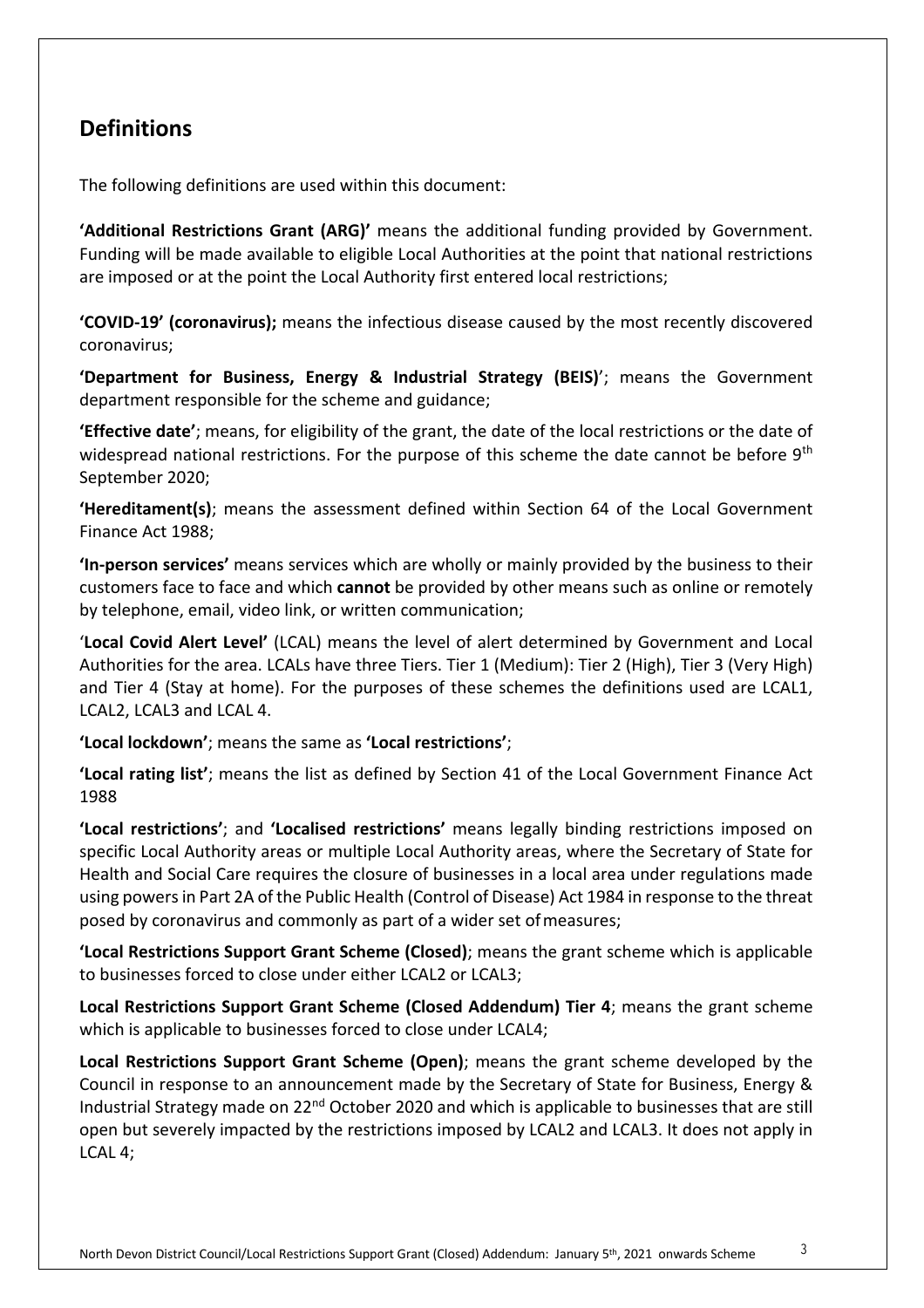## **Definitions**

The following definitions are used within this document:

**'Additional Restrictions Grant (ARG)'** means the additional funding provided by Government. Funding will be made available to eligible Local Authorities at the point that national restrictions are imposed or at the point the Local Authority first entered local restrictions;

**'COVID-19' (coronavirus);** means the infectious disease caused by the most recently discovered coronavirus;

**'Department for Business, Energy & Industrial Strategy (BEIS)**'; means the Government department responsible for the scheme and guidance;

**'Effective date'**; means, for eligibility of the grant, the date of the local restrictions or the date of widespread national restrictions. For the purpose of this scheme the date cannot be before 9<sup>th</sup> September 2020;

**'Hereditament(s)**; means the assessment defined within Section 64 of the Local Government Finance Act 1988;

**'In-person services'** means services which are wholly or mainly provided by the business to their customers face to face and which **cannot** be provided by other means such as online or remotely by telephone, email, video link, or written communication;

'**Local Covid Alert Level'** (LCAL) means the level of alert determined by Government and Local Authorities for the area. LCALs have three Tiers. Tier 1 (Medium): Tier 2 (High), Tier 3 (Very High) and Tier 4 (Stay at home). For the purposes of these schemes the definitions used are LCAL1, LCAL2, LCAL3 and LCAL 4.

**'Local lockdown'**; means the same as **'Local restrictions'**;

**'Local rating list'**; means the list as defined by Section 41 of the Local Government Finance Act 1988

**'Local restrictions'**; and **'Localised restrictions'** means legally binding restrictions imposed on specific Local Authority areas or multiple Local Authority areas, where the Secretary of State for Health and Social Care requires the closure of businesses in a local area under regulations made using powers in Part 2A of the Public Health (Control of Disease) Act 1984 in response to the threat posed by coronavirus and commonly as part of a wider set ofmeasures;

**'Local Restrictions Support Grant Scheme (Closed)**; means the grant scheme which is applicable to businesses forced to close under either LCAL2 or LCAL3;

**Local Restrictions Support Grant Scheme (Closed Addendum) Tier 4**; means the grant scheme which is applicable to businesses forced to close under LCAL4;

**Local Restrictions Support Grant Scheme (Open)**; means the grant scheme developed by the Council in response to an announcement made by the Secretary of State for Business, Energy & Industrial Strategy made on 22<sup>nd</sup> October 2020 and which is applicable to businesses that are still open but severely impacted by the restrictions imposed by LCAL2 and LCAL3. It does not apply in LCAL 4;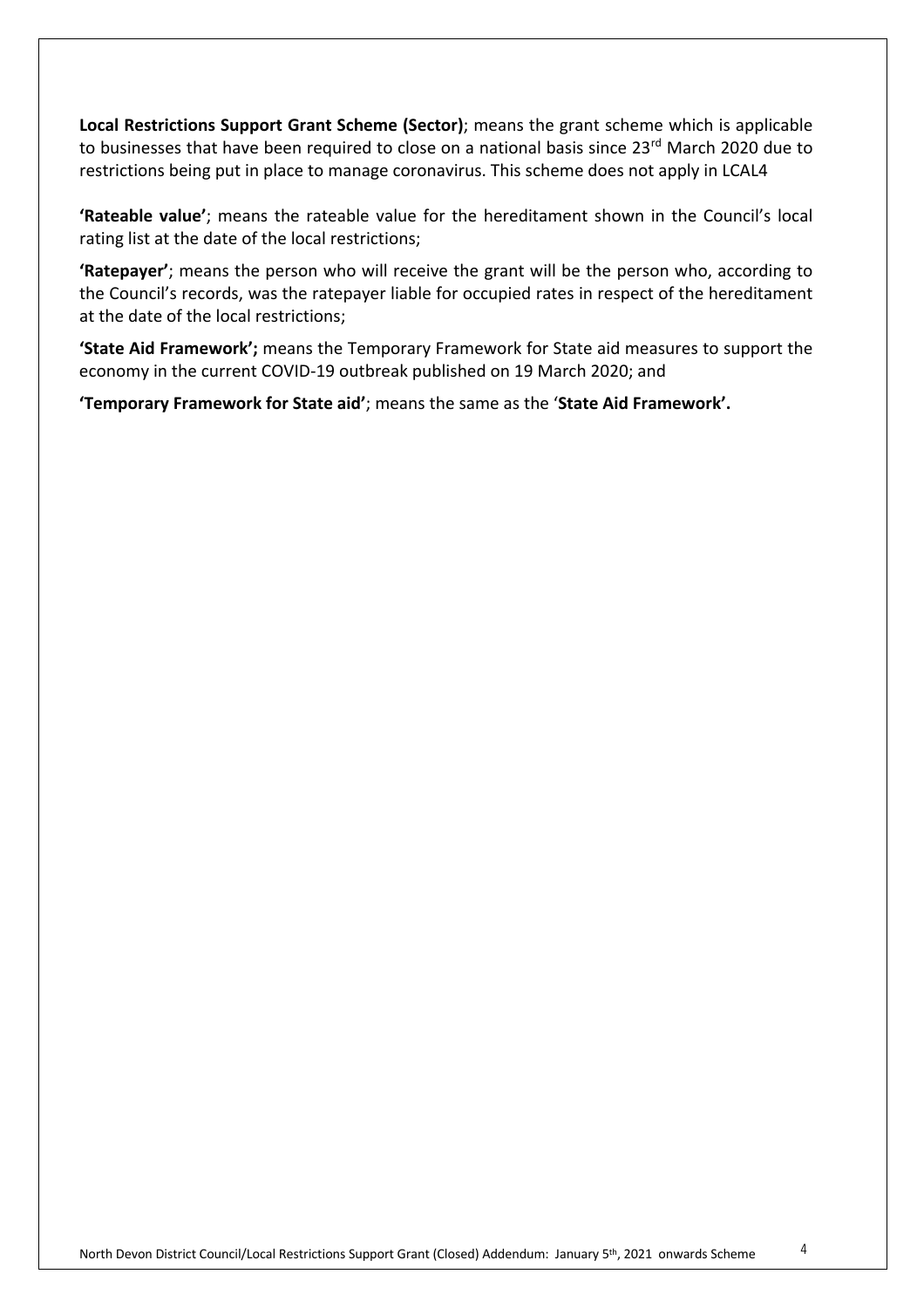**Local Restrictions Support Grant Scheme (Sector)**; means the grant scheme which is applicable to businesses that have been required to close on a national basis since 23<sup>rd</sup> March 2020 due to restrictions being put in place to manage coronavirus. This scheme does not apply in LCAL4

**'Rateable value'**; means the rateable value for the hereditament shown in the Council's local rating list at the date of the local restrictions;

**'Ratepayer'**; means the person who will receive the grant will be the person who, according to the Council's records, was the ratepayer liable for occupied rates in respect of the hereditament at the date of the local restrictions;

**'State Aid Framework';** means the Temporary Framework for State aid measures to support the economy in the current COVID-19 outbreak published on 19 March 2020; and

**'Temporary Framework for State aid'**; means the same as the ' **State Aid Framework' .**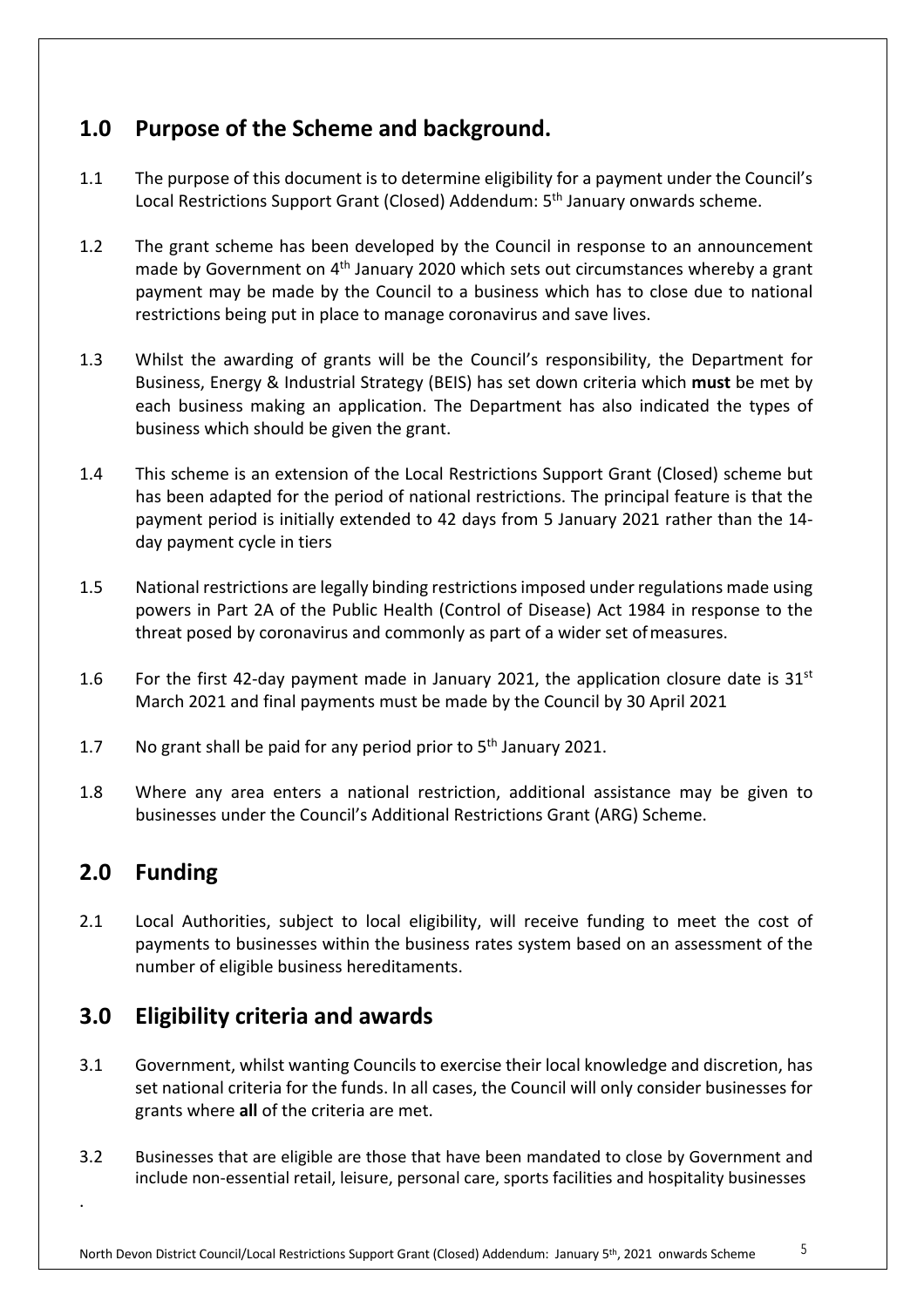# **1.0 Purpose of the Scheme and background.**

- 1.1 The purpose of this document is to determine eligibility for a payment under the Council's Local Restrictions Support Grant (Closed) Addendum: 5<sup>th</sup> January onwards scheme.
- 1.2 The grant scheme has been developed by the Council in response to an announcement made by Government on  $4<sup>th</sup>$  January 2020 which sets out circumstances whereby a grant payment may be made by the Council to a business which has to close due to national restrictions being put in place to manage coronavirus and save lives.
- 1.3 Whilst the awarding of grants will be the Council's responsibility, the Department for Business, Energy & Industrial Strategy (BEIS) has set down criteria which **must** be met by each business making an application. The Department has also indicated the types of business which should be given the grant.
- 1.4 This scheme is an extension of the Local Restrictions Support Grant (Closed) scheme but has been adapted for the period of national restrictions. The principal feature is that the payment period is initially extended to 42 days from 5 January 2021 rather than the 14 day payment cycle in tiers
- 1.5 National restrictions are legally binding restrictions imposed under regulations made using powers in Part 2A of the Public Health (Control of Disease) Act 1984 in response to the threat posed by coronavirus and commonly as part of a wider set of measures.
- 1.6 For the first 42-day payment made in January 2021, the application closure date is  $31^{st}$ March 2021 and final payments must be made by the Council by 30 April 2021
- 1.7 No grant shall be paid for any period prior to  $5<sup>th</sup>$  January 2021.
- 1.8 Where any area enters a national restriction, additional assistance may be given to businesses under the Council's Additional Restrictions Grant (ARG) Scheme.

# **2.0 Funding**

.

2.1 Local Authorities, subject to local eligibility, will receive funding to meet the cost of payments to businesses within the business rates system based on an assessment of the number of eligible business hereditaments.

# **3.0 Eligibility criteria and awards**

- 3.1 Government, whilst wanting Councils to exercise their local knowledge and discretion, has set national criteria for the funds. In all cases, the Council will only consider businesses for grants where **all** of the criteria are met.
- 3.2 Businesses that are eligible are those that have been mandated to close by Government and include non-essential retail, leisure, personal care, sports facilities and hospitality businesses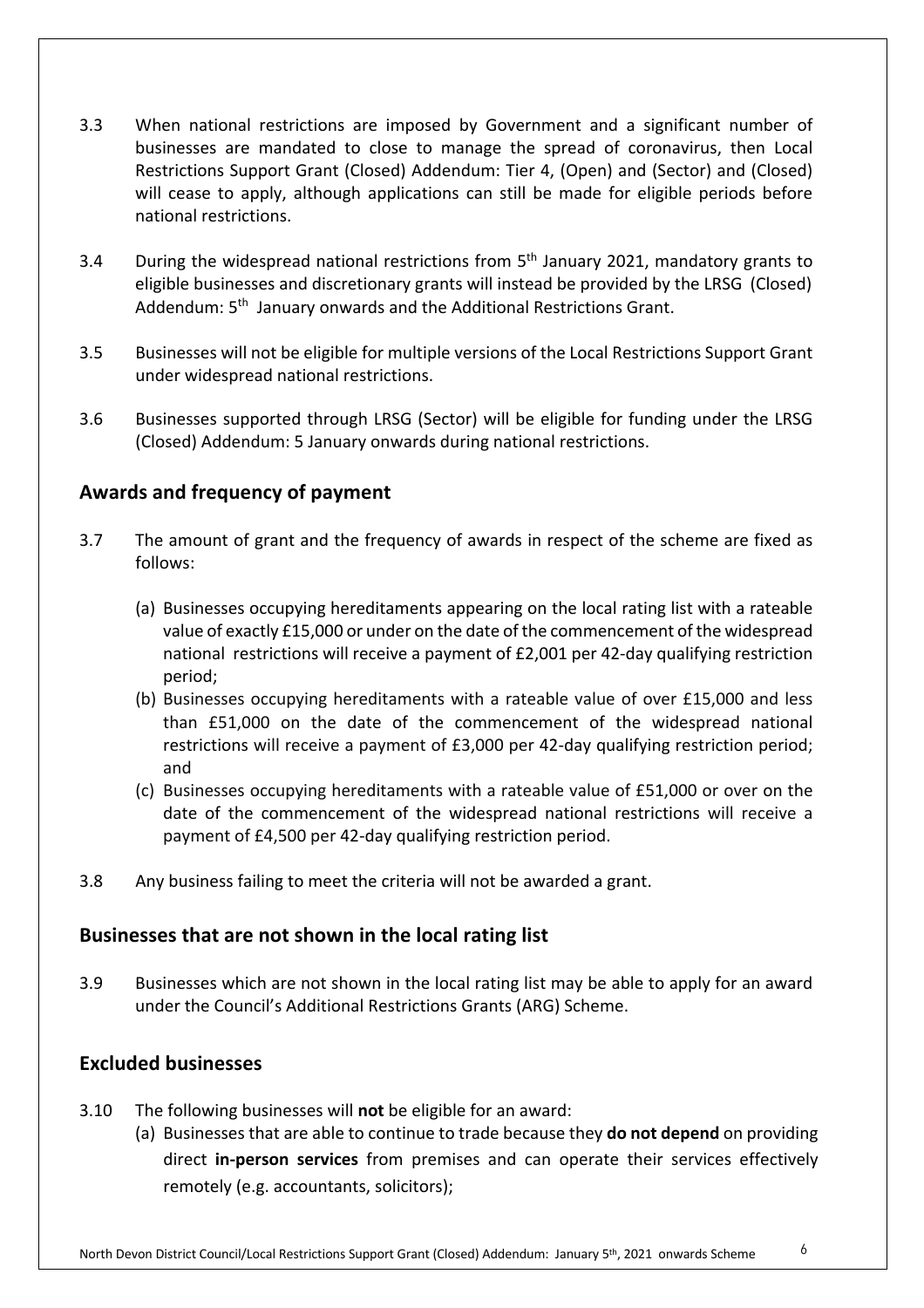- 3.3 When national restrictions are imposed by Government and a significant number of businesses are mandated to close to manage the spread of coronavirus, then Local Restrictions Support Grant (Closed) Addendum: Tier 4, (Open) and (Sector) and (Closed) will cease to apply, although applications can still be made for eligible periods before national restrictions.
- 3.4 During the widespread national restrictions from 5<sup>th</sup> January 2021, mandatory grants to eligible businesses and discretionary grants will instead be provided by the LRSG (Closed) Addendum: 5<sup>th</sup> January onwards and the Additional Restrictions Grant.
- 3.5 Businesses will not be eligible for multiple versions of the Local Restrictions Support Grant under widespread national restrictions.
- 3.6 Businesses supported through LRSG (Sector) will be eligible for funding under the LRSG (Closed) Addendum: 5 January onwards during national restrictions.

#### **Awards and frequency of payment**

- 3.7 The amount of grant and the frequency of awards in respect of the scheme are fixed as follows:
	- (a) Businesses occupying hereditaments appearing on the local rating list with a rateable value of exactly £15,000 or under on the date of the commencement of the widespread national restrictions will receive a payment of £2,001 per 42-day qualifying restriction period;
	- (b) Businesses occupying hereditaments with a rateable value of over £15,000 and less than £51,000 on the date of the commencement of the widespread national restrictions will receive a payment of £3,000 per 42-day qualifying restriction period; and
	- (c) Businesses occupying hereditaments with a rateable value of £51,000 or over on the date of the commencement of the widespread national restrictions will receive a payment of £4,500 per 42-day qualifying restriction period.
- 3.8 Any business failing to meet the criteria will not be awarded a grant.

#### **Businesses that are not shown in the local rating list**

3.9 Businesses which are not shown in the local rating list may be able to apply for an award under the Council's Additional Restrictions Grants (ARG) Scheme.

#### **Excluded businesses**

- 3.10 The following businesses will **not** be eligible for an award:
	- (a) Businesses that are able to continue to trade because they **do not depend** on providing direct **in-person services** from premises and can operate their services effectively remotely (e.g. accountants, solicitors);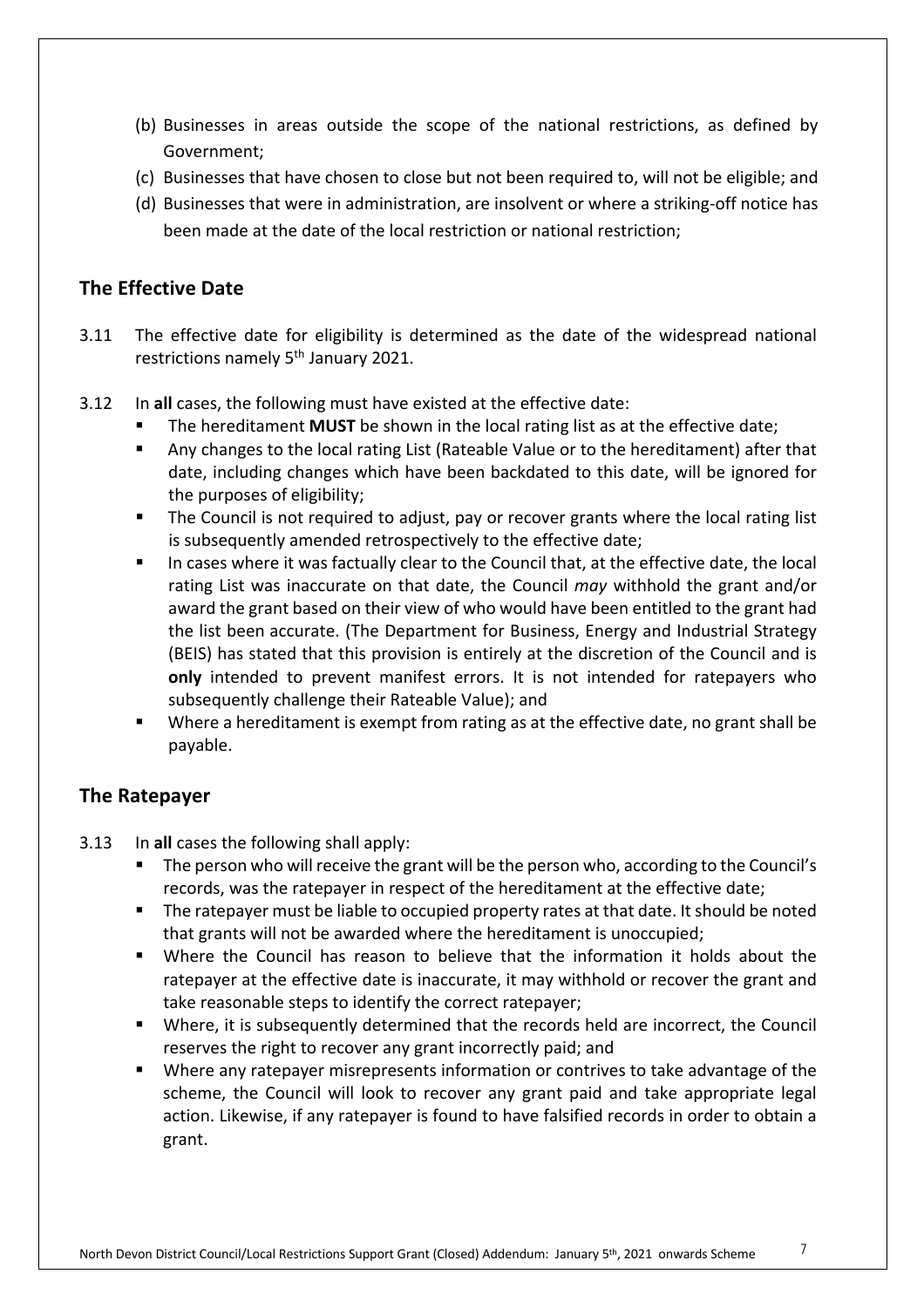- (b) Businesses in areas outside the scope of the national restrictions, as defined by Government;
- (c) Businesses that have chosen to close but not been required to, will not be eligible; and
- (d) Businesses that were in administration, are insolvent or where a striking-off notice has been made at the date of the local restriction or national restriction;

#### **The Effective Date**

- 3.11 The effective date for eligibility is determined as the date of the widespread national restrictions namely 5<sup>th</sup> January 2021.
- 3.12 In **all** cases, the following must have existed at the effective date:
	- The hereditament **MUST** be shown in the local rating list as at the effective date;
	- Any changes to the local rating List (Rateable Value or to the hereditament) after that date, including changes which have been backdated to this date, will be ignored for the purposes of eligibility;
	- The Council is not required to adjust, pay or recover grants where the local rating list is subsequently amended retrospectively to the effective date;
	- In cases where it was factually clear to the Council that, at the effective date, the local rating List was inaccurate on that date, the Council *may* withhold the grant and/or award the grant based on their view of who would have been entitled to the grant had the list been accurate. (The Department for Business, Energy and Industrial Strategy (BEIS) has stated that this provision is entirely at the discretion of the Council and is **only** intended to prevent manifest errors. It is not intended for ratepayers who subsequently challenge their Rateable Value ); and
	- Where a hereditament is exempt from rating as at the effective date, no grant shall be payable.

#### **The Ratepayer**

- 3.13 In **all** cases the following shall apply:
	- The person who will receive the grant will be the person who, according to the Council's records, was the ratepayer in respect of the hereditament at the effective date;
	- The ratepayer must be liable to occupied property rates at that date. It should be noted that grants will not be awarded where the hereditament is unoccupied;
	- Where the Council has reason to believe that the information it holds about the ratepayer at the effective date is inaccurate, it may withhold or recover the grant and take reasonable steps to identify the correct ratepayer;
	- Where, it is subsequently determined that the records held are incorrect, the Council reserves the right to recover any grant incorrectly paid; and
	- Where any ratepayer misrepresents information or contrives to take advantage of the scheme, the Council will look to recover any grant paid and take appropriate legal action. Likewise, if any ratepayer is found to have falsified records in order to obtain a grant.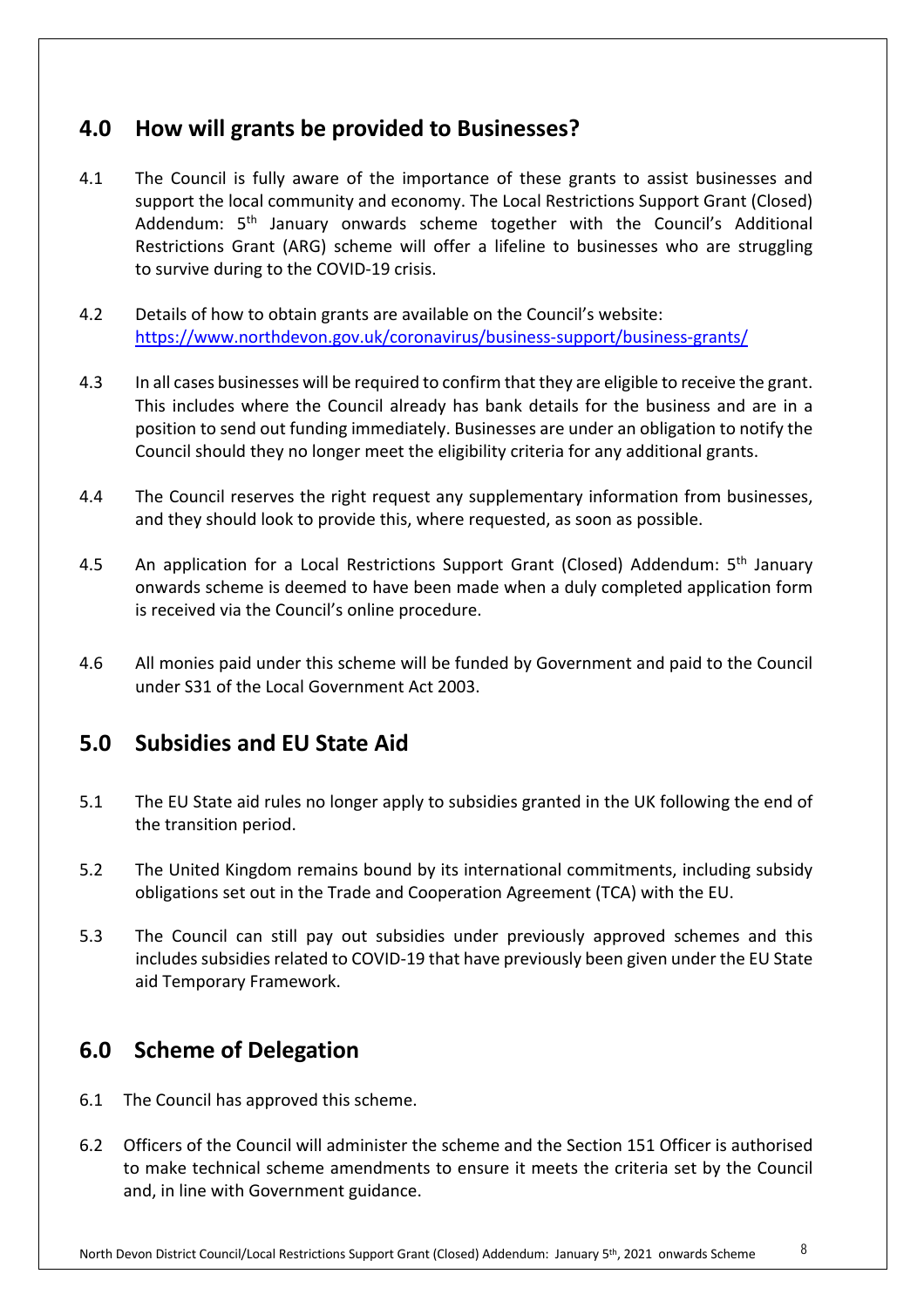## **4.0 How will grants be provided to Businesses?**

- 4.1 The Council is fully aware of the importance of these grants to assist businesses and support the local community and economy. The Local Restrictions Support Grant (Closed) Addendum: 5<sup>th</sup> January onwards scheme together with the Council's Additional Restrictions Grant (ARG) scheme will offer a lifeline to businesses who are struggling to survive during to the COVID-19 crisis.
- 4.2 Details of how to obtain grants are available on the Council's website: <https://www.northdevon.gov.uk/coronavirus/business-support/business-grants>/
- 4.3 In all cases businesses will be required to confirm that they are eligible to receive the grant. This includes where the Council already has bank details for the business and are in a position to send out funding immediately. Businesses are under an obligation to notify the Council should they no longer meet the eligibility criteria for any additional grants.
- 4.4 The Council reserves the right request any supplementary information from businesses, and they should look to provide this, where requested, as soon as possible.
- 4.5 An application for a Local Restrictions Support Grant (Closed) Addendum: 5<sup>th</sup> January onwards scheme is deemed to have been made when a duly completed application form is received via the Council's online procedure.
- 4.6 All monies paid under this scheme will be funded by Government and paid to the Council under S31 of the Local Government Act 2003.

#### **5.0 Subsidies and EU State Aid**

- 5.1 The EU State aid rules no longer apply to subsidies granted in the UK following the end of the transition period.
- 5.2 The United Kingdom remains bound by its international commitments, including subsidy obligations set out in the Trade and Cooperation Agreement (TCA) with the EU.
- 5.3 The Council can still pay out subsidies under previously approved schemes and this includes subsidies related to COVID-19 that have previously been given under the EU State aid Temporary Framework.

#### **6.0 Scheme of Delegation**

- 6.1 The Council has approved this scheme.
- 6.2 Officers of the Council will administer the scheme and the Section 151 Officer is authorised to make technical scheme amendments to ensure it meets the criteria set by the Council and, in line with Government guidance.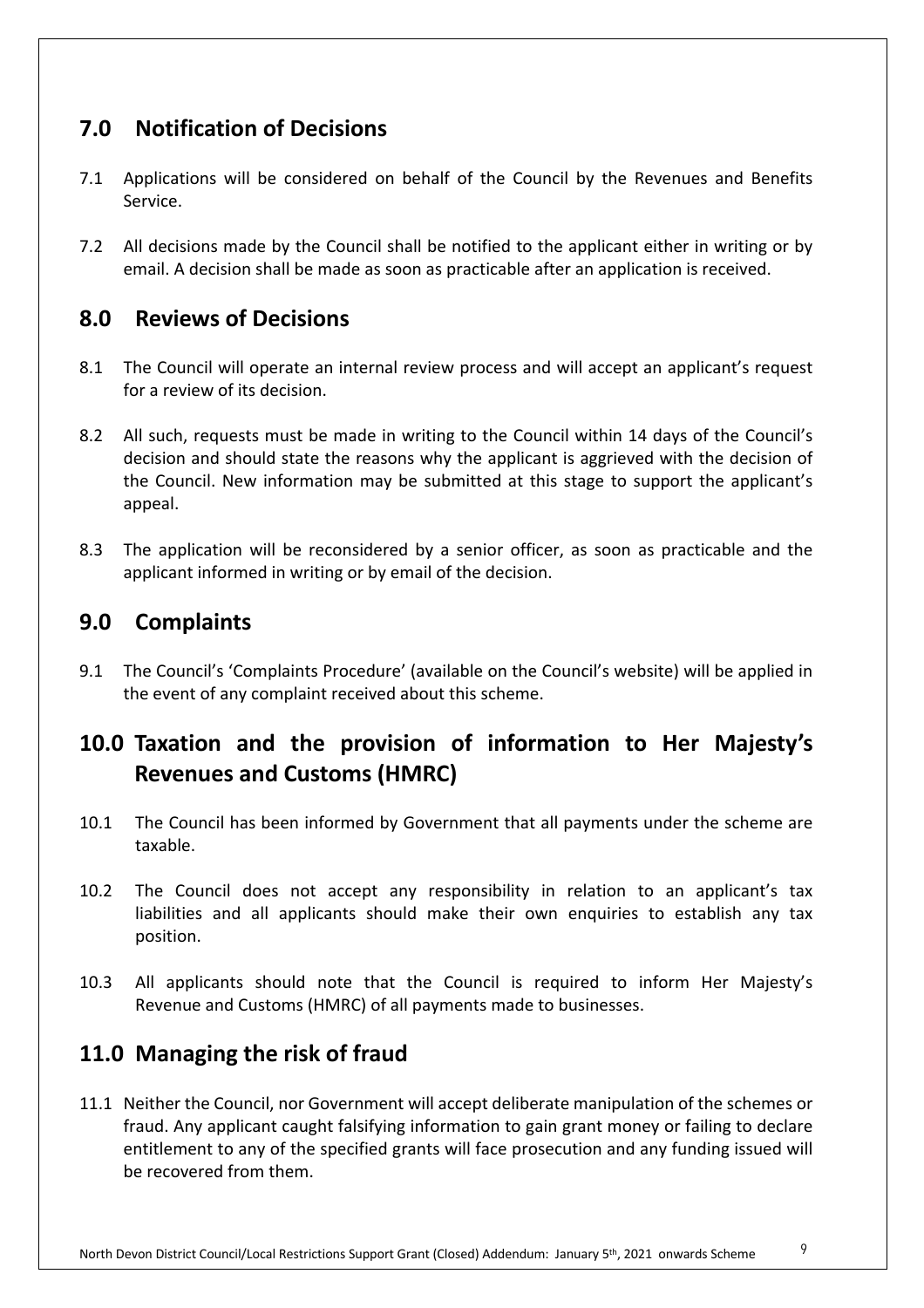# **7.0 Notification of Decisions**

- 7.1 Applications will be considered on behalf of the Council by the Revenues and Benefits Service.
- 7.2 All decisions made by the Council shall be notified to the applicant either in writing or by email. A decision shall be made as soon as practicable after an application is received.

## **8.0 Reviews of Decisions**

- 8.1 The Council will operate an internal review process and will accept an applicant's request for a review of its decision.
- 8.2 All such, requests must be made in writing to the Council within 14 days of the Council's decision and should state the reasons why the applicant is aggrieved with the decision of the Council. New information may be submitted at this stage to support the applicant's appeal.
- 8.3 The application will be reconsidered by a senior officer, as soon as practicable and the applicant informed in writing or by email of the decision.

## **9.0 Complaints**

9.1 The Council's 'Complaints Procedure' (available on the Council's website) will be applied in the event of any complaint received about this scheme.

# **10.0 Taxation and the provision of information to Her Majesty's Revenues and Customs (HMRC)**

- 10.1 The Council has been informed by Government that all payments under the scheme are taxable.
- 10.2 The Council does not accept any responsibility in relation to an applicant's tax liabilities and all applicants should make their own enquiries to establish any tax position.
- 10.3 All applicants should note that the Council is required to inform Her Majesty's Revenue and Customs (HMRC) of all payments made to businesses.

# **11.0 Managing the risk of fraud**

11.1 Neither the Council, nor Government will accept deliberate manipulation of the schemes or fraud. Any applicant caught falsifying information to gain grant money or failing to declare entitlement to any of the specified grants will face prosecution and any funding issued will be recovered from them.